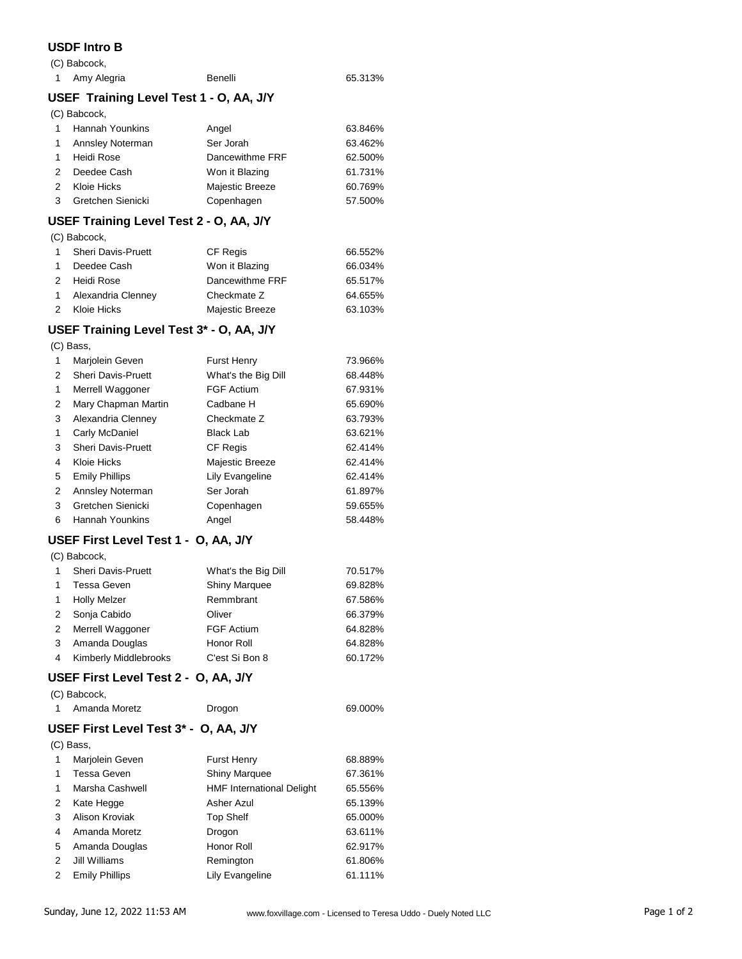## **USDF Intro B**

|                | (C) Babcock,                            |           |         |
|----------------|-----------------------------------------|-----------|---------|
| $\overline{1}$ | Amy Alegria                             | Benelli   | 65.313% |
|                | USEF Training Level Test 1 - O, AA, J/Y |           |         |
|                | (C) Babcock,                            |           |         |
|                | <b>Hannah Younkins</b>                  | Angel     | 63.846% |
|                | Annsley Noterman                        | Ser Jorah | 63.462% |

| 1 Annsley Noterman  | Ser Jorah       | 63.462% |
|---------------------|-----------------|---------|
| 1 Heidi Rose        | Dancewithme FRF | 62.500% |
| 2 Deedee Cash       | Won it Blazing  | 61.731% |
| 2 Kloie Hicks       | Majestic Breeze | 60.769% |
| 3 Gretchen Sienicki | Copenhagen      | 57.500% |
|                     |                 |         |

## **USEF Training Level Test 2 - O, AA, J/Y**

(C) Babcock,

| $\mathbf{1}$ | <b>Sheri Davis-Pruett</b> | <b>CF Regis</b> | 66.552% |
|--------------|---------------------------|-----------------|---------|
| $\sim$       | Deedee Cash               | Won it Blazing  | 66.034% |
|              | 2 Heidi Rose              | Dancewithme FRF | 65.517% |
|              | 1 Alexandria Clenney      | Checkmate Z     | 64.655% |
| 2            | Kloie Hicks               | Majestic Breeze | 63.103% |

### **USEF Training Level Test 3\* - O, AA, J/Y**

(C) Bass,

| 1 | Marjolein Geven           | <b>Furst Henry</b>  | 73.966% |
|---|---------------------------|---------------------|---------|
| 2 | <b>Sheri Davis-Pruett</b> | What's the Big Dill | 68.448% |
| 1 | Merrell Waggoner          | <b>FGF Actium</b>   | 67.931% |
| 2 | Mary Chapman Martin       | Cadbane H           | 65.690% |
| 3 | Alexandria Clenney        | Checkmate Z         | 63.793% |
| 1 | Carly McDaniel            | <b>Black Lab</b>    | 63.621% |
| 3 | <b>Sheri Davis-Pruett</b> | <b>CF Regis</b>     | 62.414% |
| 4 | Kloie Hicks               | Majestic Breeze     | 62.414% |
| 5 | <b>Emily Phillips</b>     | Lily Evangeline     | 62.414% |
| 2 | Annsley Noterman          | Ser Jorah           | 61.897% |
| 3 | Gretchen Sienicki         | Copenhagen          | 59.655% |
| 6 | <b>Hannah Younkins</b>    | Angel               | 58.448% |

# **USEF First Level Test 1 - O, AA, J/Y**

(C) Babcock,

| -1             | Sheri Davis-Pruett    | What's the Big Dill  | 70.517% |
|----------------|-----------------------|----------------------|---------|
| 1              | Tessa Geven           | <b>Shiny Marquee</b> | 69.828% |
| $\overline{1}$ | <b>Holly Melzer</b>   | Remmbrant            | 67.586% |
| 2              | Sonja Cabido          | Oliver               | 66.379% |
| 2              | Merrell Waggoner      | <b>FGF Actium</b>    | 64.828% |
| 3              | Amanda Douglas        | Honor Roll           | 64.828% |
| 4              | Kimberly Middlebrooks | C'est Si Bon 8       | 60.172% |

#### **USEF First Level Test 2 - O, AA, J/Y** (C) Babcock,

| (U) Dabooon, |               |        |         |  |
|--------------|---------------|--------|---------|--|
|              | Amanda Moretz | Drogon | 69.000% |  |

## **USEF First Level Test 3\* - O, AA, J/Y**

(C) Bass,

| 1 | Marjolein Geven       | <b>Furst Henry</b>               | 68.889% |
|---|-----------------------|----------------------------------|---------|
|   | Tessa Geven           | <b>Shiny Marquee</b>             | 67.361% |
| 1 | Marsha Cashwell       | <b>HMF International Delight</b> | 65.556% |
| 2 | Kate Hegge            | Asher Azul                       | 65.139% |
| 3 | Alison Kroviak        | <b>Top Shelf</b>                 | 65.000% |
| 4 | Amanda Moretz         | Drogon                           | 63.611% |
| 5 | Amanda Douglas        | Honor Roll                       | 62.917% |
| 2 | Jill Williams         | Remington                        | 61.806% |
| 2 | <b>Emily Phillips</b> | Lily Evangeline                  | 61.111% |
|   |                       |                                  |         |